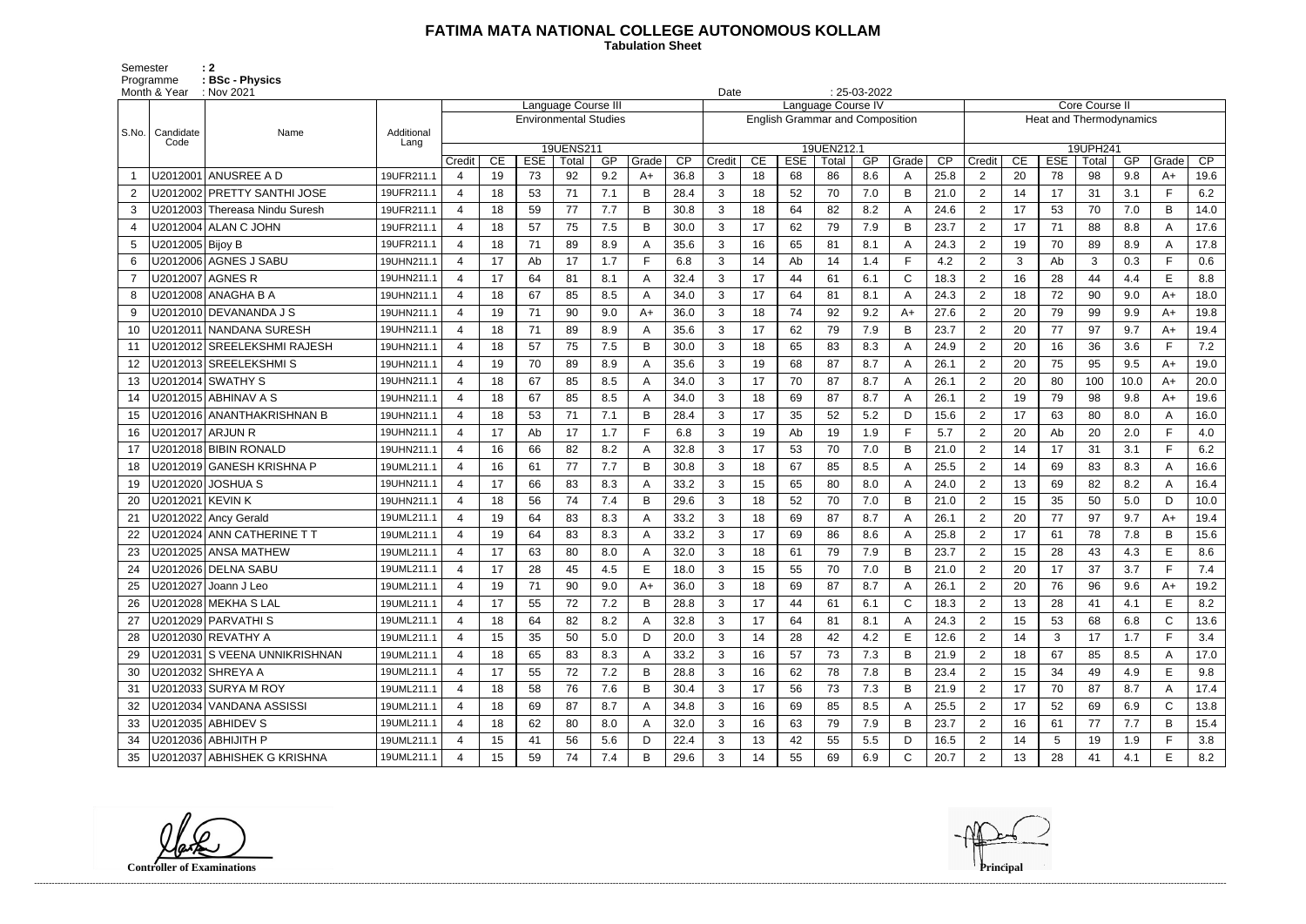## **FATIMA MATA NATIONAL COLLEGE AUTONOMOUS KOLLAM**

Semester : 2 Programme **: BSc - Physics**  **Tabulation Sheet** 

|       | Month & Year     | : Nov 2021                     |            |                                                     |                 |            |           |     |       |      |                                        |    |                    |       | $: 25-03-2022$ |              |                 |                |                                |            |                       |      |              |      |  |  |  |
|-------|------------------|--------------------------------|------------|-----------------------------------------------------|-----------------|------------|-----------|-----|-------|------|----------------------------------------|----|--------------------|-------|----------------|--------------|-----------------|----------------|--------------------------------|------------|-----------------------|------|--------------|------|--|--|--|
|       |                  |                                |            | Language Course III<br><b>Environmental Studies</b> |                 |            |           |     |       |      |                                        |    | Language Course IV |       |                |              |                 |                |                                |            | <b>Core Course II</b> |      |              |      |  |  |  |
| S.No. | Candidate        | Name                           | Additional |                                                     |                 |            |           |     |       |      | <b>English Grammar and Composition</b> |    |                    |       |                |              |                 |                | <b>Heat and Thermodynamics</b> |            |                       |      |              |      |  |  |  |
|       | Code             |                                | Lang       |                                                     |                 |            | 19UENS211 |     |       |      | 19UEN212.1                             |    |                    |       |                |              |                 |                | 19UPH241                       |            |                       |      |              |      |  |  |  |
|       |                  |                                |            | Credit                                              | CE              | <b>ESE</b> | Total     | GP  | Grade | CP   | Credit                                 | CE | <b>ESE</b>         | Total | GP             | Grade        | $\overline{CP}$ | Credit         | CE                             | <b>ESE</b> | Total                 | GP   | Grade        | CP   |  |  |  |
|       |                  |                                | 19UFR211.1 | 4                                                   | 19              | 73         | 92        | 9.2 | A+    | 36.8 | 3                                      | 18 | 68                 | 86    | 8.6            | A            | 25.8            | 2              | 20                             | 78         | 98                    | 9.8  | $A+$         | 19.6 |  |  |  |
| 2     |                  | U2012002 PRETTY SANTHI JOSE    | 19UFR211.1 | 4                                                   | 18              | 53         | 71        | 7.1 |       | 28.4 | 3                                      | 18 | 52                 | 70    | 7.0            | B            | 21.0            | 2              | 14                             | 17         | 31                    | 3.1  | F.           | 6.2  |  |  |  |
| 3     |                  | U2012003 Thereasa Nindu Suresh | 19UFR211.1 | 4                                                   | 18              | 59         | 77        | 7.7 | В     | 30.8 | 3                                      | 18 | 64                 | 82    | 8.2            | A            | 24.6            | $\overline{2}$ | 17                             | 53         | 70                    | 7.0  | B            | 14.0 |  |  |  |
| 4     |                  | U2012004 ALLAN C JOHN          | 19UFR211.1 | 4                                                   | 18              | 57         | 75        | 7.5 | B     | 30.0 | 3                                      | 17 | 62                 | 79    | 7.9            | B            | 23.7            | 2              | 17                             | 71         | 88                    | 8.8  | A            | 17.6 |  |  |  |
| 5     | U2012005 Bijoy B |                                | 19UFR211.1 | 4                                                   | 18              | 71         | 89        | 8.9 | А     | 35.6 | 3                                      | 16 | 65                 | 81    | 8.1            | A            | 24.3            | $\overline{2}$ | 19                             | 70         | 89                    | 8.9  | A            | 17.8 |  |  |  |
| 6     |                  | U2012006   AGNES J SABU        | 19UHN211.1 | 4                                                   | 17              | Ab         | 17        | 1.7 | F.    | 6.8  | 3                                      | 14 | Ab                 | 14    | 1.4            | F            | 4.2             | 2              | 3                              | Ab         | 3                     | 0.3  | E.           | 0.6  |  |  |  |
| -7    |                  | U2012007   AGNES R             | 19UHN211.1 | $\boldsymbol{4}$                                    | 17              | 64         | 81        | 8.1 | A     | 32.4 | 3                                      | 17 | 44                 | 61    | 6.1            | $\mathsf{C}$ | 18.3            | 2              | 16                             | 28         | 44                    | 4.4  | E            | 8.8  |  |  |  |
| 8     |                  |                                | 19UHN211.1 | 4                                                   | 18              | 67         | 85        | 8.5 | A     | 34.0 | 3                                      | 17 | 64                 | 81    | 8.1            | A            | 24.3            | 2              | 18                             | 72         | 90                    | 9.0  | $A+$         | 18.0 |  |  |  |
| 9     |                  | U2012010 DEVANANDA J S         | 19UHN211.1 | 4                                                   | 19              | 71         | 90        | 9.0 | A+    | 36.0 | 3                                      | 18 | 74                 | 92    | 9.2            | A+           | 27.6            | 2              | 20                             | 79         | 99                    | 9.9  | $A+$         | 19.8 |  |  |  |
| 10    |                  | U2012011 NANDANA SURESH        | 19UHN211.1 | 4                                                   | 18              | 71         | 89        | 8.9 | А     | 35.6 | 3                                      | 17 | 62                 | 79    | 7.9            | B            | 23.7            | 2              | 20                             | 77         | 97                    | 9.7  | $A+$         | 19.4 |  |  |  |
| 11    |                  | U2012012 SREELEKSHMI RAJESH    | 19UHN211.1 | 4                                                   | 18              | 57         | 75        | 7.5 | В     | 30.0 | 3                                      | 18 | 65                 | 83    | 8.3            | A            | 24.9            | $\overline{2}$ | 20                             | 16         | 36                    | 3.6  | F.           | 7.2  |  |  |  |
| 12    |                  | U2012013 SREELEKSHMI S         | 19UHN211.1 | $\boldsymbol{4}$                                    | 19              | 70         | 89        | 8.9 |       | 35.6 | 3                                      | 19 | 68                 | 87    | 8.7            | A            | 26.1            | 2              | 20                             | 75         | 95                    | 9.5  | $A+$         | 19.0 |  |  |  |
| 13    |                  | U2012014 SWATHY S              | 19UHN211.1 | 4                                                   | 18              | 67         | 85        | 8.5 | A     | 34.0 | 3                                      | 17 | 70                 | 87    | 8.7            | A            | 26.1            | $\overline{2}$ | 20                             | 80         | 100                   | 10.0 | $A+$         | 20.0 |  |  |  |
| 14    |                  |                                | 19UHN211.1 | 4                                                   | 18              | 67         | 85        | 8.5 | A     | 34.0 | 3                                      | 18 | 69                 | 87    | 8.7            | A            | 26.1            | 2              | 19                             | 79         | 98                    | 9.8  | $A+$         | 19.6 |  |  |  |
| 15    |                  | U2012016 ANANTHAKRISHNAN B     | 19UHN211.1 | 4                                                   | 18              | 53         | 71        | 7.1 | B     | 28.4 | 3                                      | 17 | 35                 | 52    | 5.2            | D            | 15.6            | 2              | 17                             | 63         | 80                    | 8.0  | A            | 16.0 |  |  |  |
| 16    |                  |                                | 19UHN211.1 | 4                                                   | 17              | Ab         | 17        | 1.7 | F.    | 6.8  | 3                                      | 19 | Ab                 | 19    | 1.9            | F            | 5.7             | $\overline{2}$ | 20                             | Ab         | 20                    | 2.0  | Е            | 4.0  |  |  |  |
| 17    |                  | U2012018 BIBIN RONALD          | 19UHN211.1 | $\boldsymbol{4}$                                    | 16              | 66         | 82        | 8.2 | A     | 32.8 | 3                                      | 17 | 53                 | 70    | 7.0            | B            | 21.0            | 2              | 14                             | 17         | 31                    | 3.1  | E.           | 6.2  |  |  |  |
| 18    |                  | U2012019 GANESH KRISHNA P      | 19UML211.1 | 4                                                   | 16              | 61         | 77        | 7.7 | В     | 30.8 | 3                                      | 18 | 67                 | 85    | 8.5            | A            | 25.5            | 2              | 14                             | 69         | 83                    | 8.3  | A            | 16.6 |  |  |  |
| 19    |                  | U2012020   JOSHUA S            | 19UHN211.1 | 4                                                   | 17              | 66         | 83        | 8.3 | А     | 33.2 | 3                                      | 15 | 65                 | 80    | 8.0            | A            | 24.0            | 2              | 13                             | 69         | 82                    | 8.2  | A            | 16.4 |  |  |  |
| 20    | U2012021 KEVIN K |                                | 19UHN211.1 | 4                                                   | 18              | 56         | 74        | 7.4 | В     | 29.6 | 3                                      | 18 | 52                 | 70    | 7.0            | B            | 21.0            | 2              | 15                             | 35         | 50                    | 5.0  | D            | 10.0 |  |  |  |
| 21    |                  | U2012022 Ancy Gerald           | 19UML211.1 | $\boldsymbol{4}$                                    | 19              | 64         | 83        | 8.3 | А     | 33.2 | 3                                      | 18 | 69                 | 87    | 8.7            | $\mathsf{A}$ | 26.1            | $\overline{2}$ | 20                             | 77         | 97                    | 9.7  | $A+$         | 19.4 |  |  |  |
| 22    |                  | U2012024 ANN CATHERINE T T     | 19UML211.1 | $\boldsymbol{4}$                                    | 19              | 64         | 83        | 8.3 | А     | 33.2 | 3                                      | 17 | 69                 | 86    | 8.6            | A            | 25.8            | 2              | 17                             | 61         | 78                    | 7.8  | B            | 15.6 |  |  |  |
| 23    |                  | U2012025 ANSA MATHEW           | 19UML211.1 | 4                                                   | 17              | 63         | 80        | 8.0 | A     | 32.0 | 3                                      | 18 | 61                 | 79    | 7.9            | B            | 23.7            | $\overline{2}$ | 15                             | 28         | 43                    | 4.3  | E            | 8.6  |  |  |  |
| 24    |                  | U2012026 DELNA SABU            | 19UML211.1 | 4                                                   | 17              | 28         | 45        | 4.5 |       | 18.0 | 3                                      | 15 | 55                 | 70    | 7.0            | B            | 21.0            | 2              | 20                             | 17         | 37                    | 3.7  | F.           | 7.4  |  |  |  |
| 25    |                  | U2012027 Joann J Leo           | 19UML211.1 | 4                                                   | 19              | 71         | 90        | 9.0 | A+    | 36.0 | 3                                      | 18 | 69                 | 87    | 8.7            | A            | 26.1            | $\overline{2}$ | 20                             | 76         | 96                    | 9.6  | A+           | 19.2 |  |  |  |
|       |                  | U2012028 MEKHA S LAL           | 19UML211.1 | 4                                                   | 17              | 55         | 72        | 7.2 | B     | 28.8 | 3                                      | 17 | 44                 | 61    | 6.1            | C            | 18.3            | $\overline{2}$ | 13                             | 28         | 41                    | 4.1  | E            | 8.2  |  |  |  |
| 27    |                  | U2012029 PARVATHIS             | 19UML211.1 | 4                                                   | 18              | 64         | 82        | 8.2 | A     | 32.8 | 3                                      | 17 | 64                 | 81    | 8.1            | A            | 24.3            | $\overline{2}$ | 15                             | 53         | 68                    | 6.8  | $\mathsf{C}$ | 13.6 |  |  |  |
| 28    |                  | U2012030 REVATHY A             | 19UML211.1 | 4                                                   | 15              | 35         | 50        | 5.0 | D     | 20.0 | 3 <sup>1</sup>                         | 14 | 28                 | 42    | 4.2            | E            | 12.6            | $\overline{2}$ | 14                             | 3          | 17                    | 1.7  | F.           | 3.4  |  |  |  |
| 29    |                  | U2012031 S VEENA UNNIKRISHNAN  | 19UML211.1 | 4                                                   | 18              | 65         | 83        | 8.3 | A     | 33.2 | 3                                      | 16 | 57                 | 73    | 7.3            | B            | 21.9            | $\overline{2}$ | 18                             | 67         | 85                    | 8.5  |              | 17.0 |  |  |  |
| 30    |                  | U2012032 SHREYA A              | 19UML211.1 | 4                                                   | 17              | 55         | 72        | 7.2 | B     | 28.8 | $\mathbf{3}$                           | 16 | 62                 | 78    | 7.8            | B            | 23.4            | $\overline{2}$ | 15                             | 34         | 49                    | 4.9  | E            | 9.8  |  |  |  |
| 31    |                  | U2012033 SURYA M ROY           | 19UML211.1 | 4                                                   | 18              | 58         | 76        | 7.6 | B     | 30.4 | 3                                      | 17 | 56                 | 73    | 7.3            | B            | 21.9            | $\overline{2}$ | 17                             | 70         | 87                    | 8.7  | A            | 17.4 |  |  |  |
| 32    |                  | U2012034 VANDANA ASSISSI       | 19UML211.1 | 4                                                   | 18              | 69         | 87        | 8.7 | A     | 34.8 | 3                                      | 16 | 69                 | 85    | 8.5            | A            | 25.5            | $\overline{2}$ | 17                             | 52         | 69                    | 6.9  | $\mathsf{C}$ | 13.8 |  |  |  |
| 33    |                  | U2012035 ABHIDEV S             | 19UML211.1 | 4                                                   | 18              | 62         | 80        | 8.0 | A     | 32.0 | 3                                      | 16 | 63                 | 79    | 7.9            | B            | 23.7            | $\overline{2}$ | 16                             | 61         | 77                    | 7.7  | B            | 15.4 |  |  |  |
| 34    |                  | U2012036 ABHIJITH P            | 19UML211.1 | 4                                                   | 15              | 41         | 56        | 5.6 | D     | 22.4 | 3                                      | 13 | 42                 | 55    | 5.5            | D            | 16.5            | $\overline{2}$ | 14                             | $\sqrt{5}$ | 19                    | 1.9  |              | 3.8  |  |  |  |
| 35    |                  | U2012037 ABHISHEK G KRISHNA    | 19UML211.1 | 4                                                   | 15 <sub>1</sub> | 59         | 74        | 7.4 | B     | 29.6 | 3 <sup>1</sup>                         | 14 | 55                 | 69    | 6.9            | C            | 20.7            | $\overline{2}$ | 13                             | 28         | 41                    | 4.1  | E            | 8.2  |  |  |  |

**Controller of Examinations Principal**

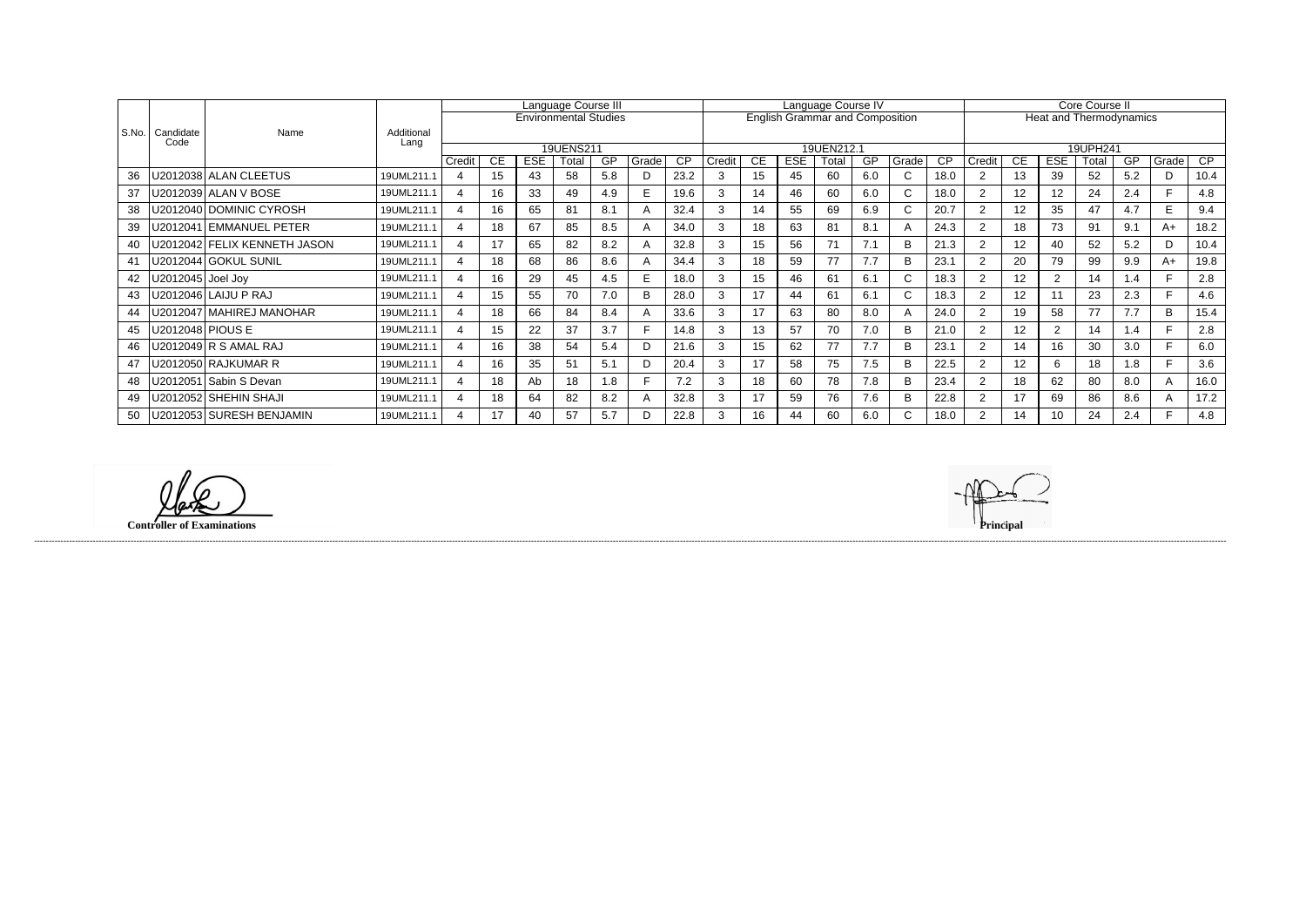|       |                     |                              |                    | Language Course III<br><b>Environmental Studies</b> |     |            |           |     |       |                 | Language Course IV<br><b>English Grammar and Composition</b> |    |            |            |     |              |                 |                                | Core Course II  |            |          |     |                |      |  |
|-------|---------------------|------------------------------|--------------------|-----------------------------------------------------|-----|------------|-----------|-----|-------|-----------------|--------------------------------------------------------------|----|------------|------------|-----|--------------|-----------------|--------------------------------|-----------------|------------|----------|-----|----------------|------|--|
|       |                     |                              |                    |                                                     |     |            |           |     |       |                 |                                                              |    |            |            |     |              |                 | <b>Heat and Thermodynamics</b> |                 |            |          |     |                |      |  |
| S.No. | Candidate<br>Code   | Name                         | Additional<br>Lang |                                                     |     |            |           |     |       |                 |                                                              |    |            |            |     |              |                 |                                |                 |            |          |     |                |      |  |
|       |                     |                              |                    |                                                     |     |            | 19UENS211 |     |       |                 |                                                              |    |            | 19UEN212.1 |     |              |                 |                                |                 |            | 19UPH241 |     |                |      |  |
|       |                     |                              |                    | Credit                                              | CE. | <b>ESE</b> | Total     | GP  | Grade | $\overline{CP}$ | Credit                                                       | CE | <b>ESE</b> | Total      | GP  | Grade        | $\overline{CP}$ | Credit                         | CE              | <b>ESE</b> | Total    | GP  | Grade          | CP   |  |
| 36    |                     | J2012038 ALAN CLEETUS        | 19UML211.1         |                                                     | 15  | 43         | 58        | 5.8 |       | 23.2            |                                                              | 15 | 45         | 60         | 6.0 | $\mathsf{C}$ | 18.0            | $\overline{2}$                 | 13              | 39         | 52       | 5.2 | D              | 10.4 |  |
| 37    |                     | U2012039 ALLAN V BOSE        | 19UML211.1         |                                                     | 16  | 33         | 49        | 4.9 |       | 19.6            |                                                              | 14 | 46         | 60         | 6.0 | $\mathsf{C}$ | 18.0            | $\overline{2}$                 | 12 <sup>2</sup> | 12         | 24       | 2.4 |                | 4.8  |  |
| 38    |                     | U2012040 DOMINIC CYROSH      | 19UML211.1         |                                                     | 16  | 65         | 81        | 8.1 |       | 32.4            |                                                              | 14 | 55         | 69         | 6.9 | $\mathsf{C}$ | 20.7            | $\overline{2}$                 | 12 <sub>2</sub> | 35         | 47       | 4.7 | E              | 9.4  |  |
| 39    |                     | U2012041 EMMANUEL PETER      | 19UML211.1         |                                                     | 18  | 67         | 85        | 8.5 |       | 34.0            |                                                              | 18 | 63         | 81         | 8.1 |              | 24.3            |                                | 18              | 73         | 91       | 9.1 | A+             | 18.2 |  |
| 40    |                     | U2012042 FELIX KENNETH JASON | 19UML211.1         |                                                     | 17  | 65         | 82        | 8.2 |       | 32.8            |                                                              | 15 | 56         | 71         | 7.1 | B            | 21.3            | 2                              | 12 <sup>°</sup> | 40         | 52       | 5.2 | D              | 10.4 |  |
| 41    |                     | U2012044   GOKUL SUNIL       | 19UML211.1         |                                                     | 18  | 68         | 86        | 8.6 |       | 34.4            | 3                                                            | 18 | 59         | 77         | 7.7 | B            | 23.1            | 2                              | 20              | 79         | 99       | 9.9 | A+             | 19.8 |  |
| 42    | $U2012045$ Joel Joy |                              | 19UML211.1         |                                                     | 16  | 29         | 45        | 4.5 |       | 18.0            |                                                              | 15 | 46         | 61         | 6.1 | $\mathsf{C}$ | 18.3            | $\overline{2}$                 | 12 <sup>2</sup> | 2          | 14       | 1.4 | E.             | 2.8  |  |
| 43    |                     | U2012046   LAIJU P RAJ       | 19UML211.1         |                                                     | 15  | 55         | 70        | 7.0 | В.    | 28.0            |                                                              | 17 | 44         | 61         | 6.1 | $\mathsf{C}$ | 18.3            | $\overline{2}$                 | 12 <sup>2</sup> | 11         | 23       | 2.3 | L.             | 4.6  |  |
| 44    |                     | J2012047   MAHIREJ MANOHAR   | 19UML211.1         |                                                     | 18  | 66         | 84        | 8.4 |       | 33.6            |                                                              | 17 | 63         | 80         | 8.0 | A            | 24.0            | $\overline{2}$                 | 19              | 58         | 77       | 7.7 | B              | 15.4 |  |
| 45    |                     | U2012048   PIOUS E           | 19UML211.1         |                                                     | 15  | 22         | 37        | 3.7 |       | 14.8            |                                                              | 13 | 57         | 70         | 7.0 | B            | 21.0            | $\overline{2}$                 | 12 <sup>2</sup> | 2          | 14       | 1.4 | F.             | 2.8  |  |
| 46    |                     | U2012049 R S AMAL RAJ        | 19UML211.1         | $\boldsymbol{\Delta}$                               | 16  | 38         | 54        | 5.4 |       | 21.6            | 3                                                            | 15 | 62         | 77         | 7.7 | B            | 23.1            | $\overline{2}$                 | 14              | 16         | 30       | 3.0 | F              | 6.0  |  |
| 47    |                     | U2012050 RAJKUMAR R          | 19UML211.1         |                                                     | 16  | 35         | 51        | 5.1 |       | 20.4            |                                                              | 17 | 58         | 75         | 7.5 | B            | 22.5            | 2                              | 12 <sup>2</sup> | 6          | 18       | 1.8 |                | 3.6  |  |
| 48    |                     | U2012051 Sabin S Devan       | 19UML211.1         |                                                     | 18  | Ab         | 18        | 1.8 |       | 7.2             | 3                                                            | 18 | 60         | 78         | 7.8 | B            | 23.4            | $\overline{2}$                 | 18              | 62         | 80       | 8.0 | $\overline{A}$ | 16.0 |  |
| 49    |                     | U2012052 SHEHIN SHAJI        | 19UML211.1         |                                                     | 18  | 64         | 82        | 8.2 |       | 32.8            |                                                              | 17 | 59         | 76         | 7.6 | B            | 22.8            | 2                              | 17              | 69         | 86       | 8.6 | $\mathsf{A}$   | 17.2 |  |
| 50    |                     | U2012053 SURESH BENJAMIN     | 19UML211.1         |                                                     | 17  | 40         | 57        | 5.7 |       | 22.8            |                                                              | 16 | 44         | 60         | 6.0 | $\mathsf{C}$ | 18.0            | $\overline{2}$                 | 14              | 10         | 24       | 2.4 | F.             | 4.8  |  |

**Controller of Examinations** 

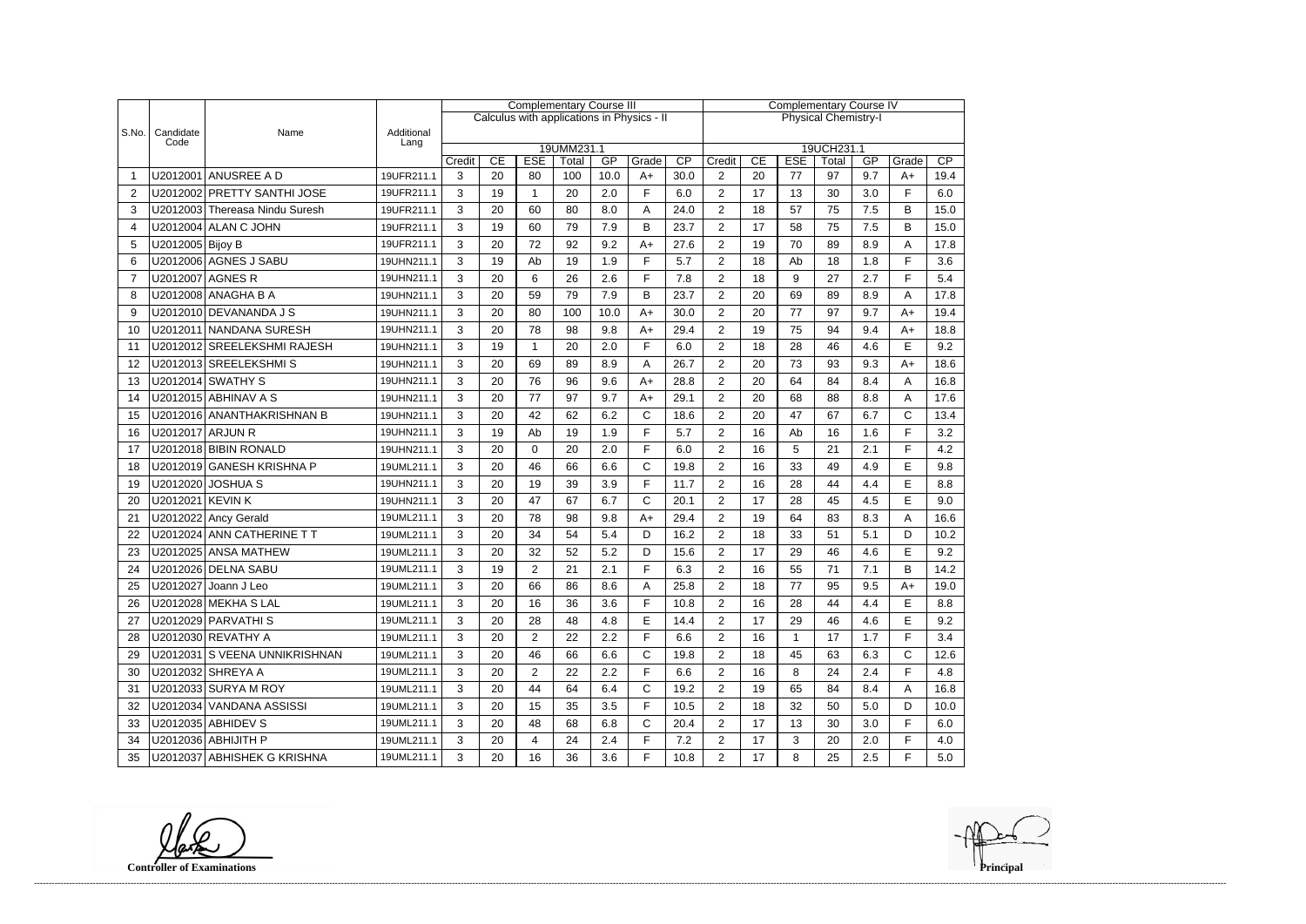|                |                   |                                |                    | <b>Complementary Course III</b> |    |                |                     |      |                                            |                             | <b>Complementary Course IV</b> |    |            |                     |     |              |      |
|----------------|-------------------|--------------------------------|--------------------|---------------------------------|----|----------------|---------------------|------|--------------------------------------------|-----------------------------|--------------------------------|----|------------|---------------------|-----|--------------|------|
|                |                   |                                |                    |                                 |    |                |                     |      | Calculus with applications in Physics - II | <b>Physical Chemistry-I</b> |                                |    |            |                     |     |              |      |
| S.No.          | Candidate<br>Code | Name                           | Additional<br>Lang |                                 |    |                |                     |      |                                            |                             |                                |    |            |                     |     |              |      |
|                |                   |                                |                    | Credit                          | CE | <b>ESE</b>     | 19UMM231.1<br>Total | GP   | Grade                                      | CP                          | Credit                         | CE | <b>ESE</b> | 19UCH231.1<br>Total | GP  | Grade        | CP   |
|                |                   | U2012001 ANUSREE A D           | 19UFR211.1         | 3                               | 20 | 80             | 100                 | 10.0 | $A+$                                       | 30.0                        | $\overline{2}$                 | 20 | 77         | 97                  | 9.7 | $A+$         | 19.4 |
| $\overline{2}$ |                   | U2012002 PRETTY SANTHI JOSE    | 19UFR211.1         | 3                               | 19 | $\mathbf 1$    | 20                  | 2.0  | F                                          | 6.0                         | $\overline{2}$                 | 17 | 13         | 30                  | 3.0 | F            | 6.0  |
| 3              |                   | U2012003 Thereasa Nindu Suresh | 19UFR211.1         | 3                               | 20 | 60             | 80                  | 8.0  | A                                          | 24.0                        | $\overline{2}$                 | 18 | 57         | 75                  | 7.5 | B            | 15.0 |
| $\overline{4}$ |                   | U2012004 ALAN C JOHN           | 19UFR211.1         | 3                               | 19 | 60             | 79                  | 7.9  | B                                          | 23.7                        | $\overline{2}$                 | 17 | 58         | 75                  | 7.5 | B            | 15.0 |
| 5              | U2012005 Bijoy B  |                                | 19UFR211.1         | 3                               | 20 | 72             | 92                  | 9.2  | $A+$                                       | 27.6                        | $\overline{2}$                 | 19 | 70         | 89                  | 8.9 | A            | 17.8 |
| 6              |                   | U2012006 AGNES J SABU          | 19UHN211.1         | 3                               | 19 | Ab             | 19                  | 1.9  | F                                          | 5.7                         | $\overline{2}$                 | 18 | Ab         | 18                  | 1.8 | F            | 3.6  |
| $\overline{7}$ |                   | U2012007 AGNES R               | 19UHN211.1         | 3                               | 20 | 6              | 26                  | 2.6  | F                                          | 7.8                         | $\overline{2}$                 | 18 | 9          | 27                  | 2.7 | F            | 5.4  |
| 8              |                   | U2012008 ANAGHA B A            |                    |                                 | 20 | 59             | 79                  | 7.9  | B                                          | 23.7                        | $\overline{2}$                 | 20 | 69         | 89                  | 8.9 | A            | 17.8 |
|                |                   | U2012010 DEVANANDA J S         | 19UHN211.1         | 3                               | 20 | 80             | 100                 |      |                                            |                             |                                | 20 | 77         | 97                  | 9.7 |              |      |
| 9              |                   |                                | 19UHN211.1         | 3                               |    |                |                     | 10.0 | $A+$                                       | 30.0                        | $\overline{2}$                 |    |            |                     |     | $A+$         | 19.4 |
| 10             |                   | U2012011 NANDANA SURESH        | 19UHN211.1         | 3                               | 20 | 78             | 98                  | 9.8  | $A+$<br>E                                  | 29.4                        | $\overline{2}$                 | 19 | 75         | 94                  | 9.4 | $A+$         | 18.8 |
| 11             |                   | U2012012 SREELEKSHMI RAJESH    | 19UHN211.1         | 3                               | 19 | $\mathbf 1$    | 20                  | 2.0  |                                            | 6.0                         | $\overline{2}$                 | 18 | 28         | 46                  | 4.6 | E            | 9.2  |
| 12             |                   | U2012013 SREELEKSHMIS          | 19UHN211.1         | 3                               | 20 | 69             | 89                  | 8.9  | A                                          | 26.7                        | $\overline{2}$                 | 20 | 73         | 93                  | 9.3 | $A+$         | 18.6 |
| 13             |                   | U2012014 SWATHY S              | 19UHN211.1         | 3                               | 20 | 76             | 96                  | 9.6  | $A+$                                       | 28.8                        | $\overline{2}$                 | 20 | 64         | 84                  | 8.4 | A            | 16.8 |
| 14             |                   | U2012015 ABHINAV A S           | 19UHN211.1         | 3                               | 20 | 77             | 97                  | 9.7  | $A+$                                       | 29.1                        | $\overline{2}$                 | 20 | 68         | 88                  | 8.8 | A            | 17.6 |
| 15             |                   | U2012016 ANANTHAKRISHNAN B     | 19UHN211.1         | 3                               | 20 | 42             | 62                  | 6.2  | $\mathsf{C}$                               | 18.6                        | $\overline{2}$                 | 20 | 47         | 67                  | 6.7 | $\mathsf C$  | 13.4 |
| 16             | U2012017 ARJUN R  |                                | 19UHN211.1         | 3                               | 19 | Ab             | 19                  | 1.9  | F                                          | 5.7                         | $\overline{2}$                 | 16 | Ab         | 16                  | 1.6 | F            | 3.2  |
| 17             |                   | U2012018 BIBIN RONALD          | 19UHN211.1         | 3                               | 20 | $\Omega$       | 20                  | 2.0  | F                                          | 6.0                         | $\overline{2}$                 | 16 | 5          | 21                  | 2.1 | F            | 4.2  |
| 18             |                   | U2012019 GANESH KRISHNA P      | 19UML211.1         | 3                               | 20 | 46             | 66                  | 6.6  | $\mathsf{C}$                               | 19.8                        | $\overline{2}$                 | 16 | 33         | 49                  | 4.9 | E            | 9.8  |
| 19             |                   | U2012020 JOSHUA S              | 19UHN211.1         | 3                               | 20 | 19             | 39                  | 3.9  | E                                          | 11.7                        | $\overline{2}$                 | 16 | 28         | 44                  | 4.4 | E            | 8.8  |
| 20             | U2012021 KEVIN K  |                                | 19UHN211.1         | 3                               | 20 | 47             | 67                  | 6.7  | $\mathsf{C}$                               | 20.1                        | $\overline{2}$                 | 17 | 28         | 45                  | 4.5 | E            | 9.0  |
| 21             |                   | U2012022 Ancy Gerald           | 19UML211.1         | 3                               | 20 | 78             | 98                  | 9.8  | $A+$                                       | 29.4                        | $\overline{2}$                 | 19 | 64         | 83                  | 8.3 | A            | 16.6 |
| 22             |                   | U2012024 ANN CATHERINE T T     | 19UML211.1         | 3                               | 20 | 34             | 54                  | 5.4  | D                                          | 16.2                        | $\overline{2}$                 | 18 | 33         | 51                  | 5.1 | D            | 10.2 |
| 23             |                   | U2012025 ANSA MATHEW           | 19UML211.1         | 3                               | 20 | 32             | 52                  | 5.2  | D                                          | 15.6                        | $\overline{2}$                 | 17 | 29         | 46                  | 4.6 | E            | 9.2  |
| 24             |                   | U2012026 DELNA SABU            | 19UML211.1         | 3                               | 19 | $\overline{2}$ | 21                  | 2.1  | F                                          | 6.3                         | $\overline{2}$                 | 16 | 55         | 71                  | 7.1 | B            | 14.2 |
| 25             |                   | U2012027 Joann J Leo           | 19UML211.1         | 3                               | 20 | 66             | 86                  | 8.6  | Δ                                          | 25.8                        | $\mathcal{D}$                  | 18 | 77         | 95                  | 9.5 | A+           | 19.0 |
| 26             |                   | U2012028 MEKHA S LAL           | 19UML211.1         | 3                               | 20 | 16             | 36                  | 3.6  | F                                          | 10.8                        | $\overline{2}$                 | 16 | 28         | 44                  | 4.4 | E            | 8.8  |
| 27             |                   | U2012029 PARVATHI S            | 19UML211.1         | 3                               | 20 | 28             | 48                  | 4.8  | Е                                          | 14.4                        | $\overline{2}$                 | 17 | 29         | 46                  | 4.6 | Е            | 9.2  |
| 28             |                   | U2012030 REVATHY A             | 19UML211.1         | 3                               | 20 | $\overline{2}$ | 22                  | 2.2  | F                                          | 6.6                         | $\overline{c}$                 | 16 |            | 17                  | 1.7 | F            | 3.4  |
| 29             |                   | U2012031 S VEENA UNNIKRISHNAN  | 19UML211.1         | 3                               | 20 | 46             | 66                  | 6.6  | $\mathsf{C}$                               | 19.8                        | $\overline{2}$                 | 18 | 45         | 63                  | 6.3 | $\mathsf{C}$ | 12.6 |
| 30             |                   | U2012032 SHREYA A              | 19UML211.1         | 3                               | 20 | $\overline{2}$ | 22                  | 2.2  | F                                          | 6.6                         | $\overline{c}$                 | 16 | 8          | 24                  | 2.4 | F            | 4.8  |
| 31             |                   | U2012033 SURYA M ROY           | 19UML211.1         | 3                               | 20 | 44             | 64                  | 6.4  | $\mathsf{C}$                               | 19.2                        | $\overline{2}$                 | 19 | 65         | 84                  | 8.4 | A            | 16.8 |
| 32             |                   | U2012034 VANDANA ASSISSI       | 19UML211.1         | 3                               | 20 | 15             | 35                  | 3.5  | F                                          | 10.5                        | $\overline{c}$                 | 18 | 32         | 50                  | 5.0 | D            | 10.0 |
| 33             |                   | U2012035 ABHIDEV S             | 19UML211.1         | 3                               | 20 | 48             | 68                  | 6.8  | $\mathsf{C}$                               | 20.4                        | $\overline{2}$                 | 17 | 13         | 30                  | 3.0 | F            | 6.0  |
| 34             |                   | U2012036 ABHIJITH P            | 19UML211.1         | 3                               | 20 | 4              | 24                  | 2.4  | F                                          | 7.2                         | $\overline{2}$                 | 17 | 3          | 20                  | 2.0 | F            | 4.0  |
| 35             |                   | U2012037 ABHISHEK G KRISHNA    | 19UML211.1         | 3                               | 20 | 16             | 36                  | 3.6  | F                                          | 10.8                        | $\overline{2}$                 | 17 | 8          | 25                  | 2.5 | F.           | 5.0  |

**Controller of Examinations** 

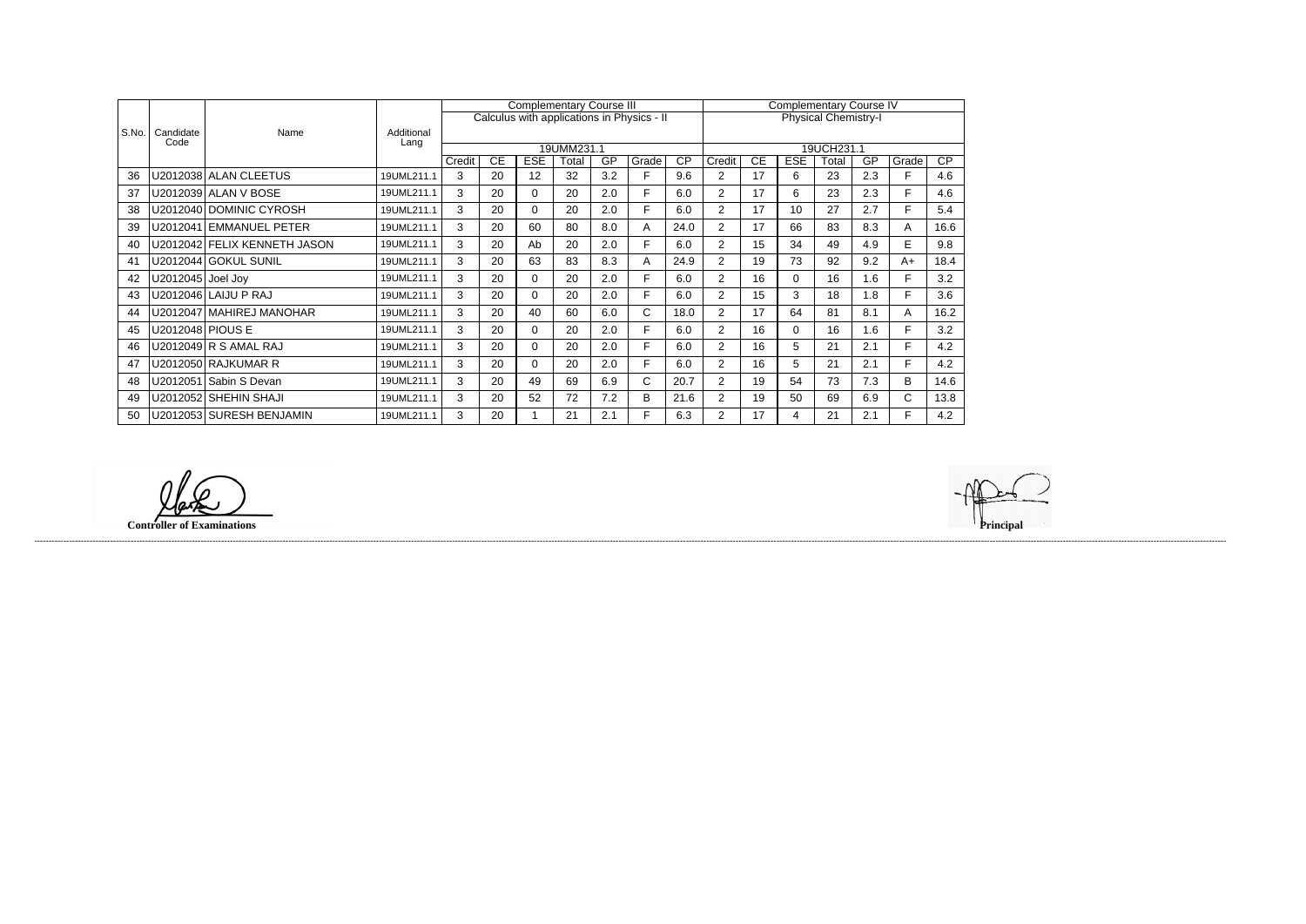|       |                   |                              |                    |        |    | <b>Complementary Course III</b> |            |     |                                            | <b>Complementary Course IV</b> |                             |    |             |            |     |       |                 |  |
|-------|-------------------|------------------------------|--------------------|--------|----|---------------------------------|------------|-----|--------------------------------------------|--------------------------------|-----------------------------|----|-------------|------------|-----|-------|-----------------|--|
|       |                   |                              |                    |        |    |                                 |            |     | Calculus with applications in Physics - II |                                | <b>Physical Chemistry-I</b> |    |             |            |     |       |                 |  |
| S.No. | Candidate<br>Code | Name                         | Additional<br>Lang |        |    |                                 |            |     |                                            |                                |                             |    |             |            |     |       |                 |  |
|       |                   |                              |                    |        |    |                                 | 19UMM231.1 |     |                                            |                                |                             |    |             | 19UCH231.1 |     |       |                 |  |
|       |                   |                              |                    | Credit | CE | <b>ESE</b>                      | Гоtal      | GP  | Grade                                      | $\overline{CP}$                | Credit                      | CE | <b>ESE</b>  | Total      | GP  | Grade | $\overline{CP}$ |  |
| 36    |                   | U2012038 ALAN CLEETUS        | 19UML211.1         | 3      | 20 | 12                              | 32         | 3.2 | F.                                         | 9.6                            | 2                           | 17 | 6           | 23         | 2.3 | F     | 4.6             |  |
| 37    |                   | U2012039 ALAN V BOSE         | 19UML211.1         | 3      | 20 | 0                               | 20         | 2.0 | F.                                         | 6.0                            | $\overline{2}$              | 17 | 6           | 23         | 2.3 | F     | 4.6             |  |
| 38    |                   | U2012040 DOMINIC CYROSH      | 19UML211.1         | 3      | 20 | 0                               | 20         | 2.0 | F.                                         | 6.0                            | $\overline{2}$              | 17 | 10          | 27         | 2.7 | F     | 5.4             |  |
| 39    |                   | U2012041 EMMANUEL PETER      | 19UML211.1         | 3      | 20 | 60                              | 80         | 8.0 | A                                          | 24.0                           | 2                           | 17 | 66          | 83         | 8.3 | A     | 16.6            |  |
| 40    |                   | U2012042 FELIX KENNETH JASON | 19UML211.1         | 3      | 20 | Ab                              | 20         | 2.0 | E.                                         | 6.0                            | $\overline{2}$              | 15 | 34          | 49         | 4.9 | E     | 9.8             |  |
| 41    |                   | U2012044 GOKUL SUNIL         | 19UML211.1         | 3      | 20 | 63                              | 83         | 8.3 | A                                          | 24.9                           | 2                           | 19 | 73          | 92         | 9.2 | $A+$  | 18.4            |  |
| 42    | U2012045 Joel Joy |                              | 19UML211.1         | 3      | 20 | $\Omega$                        | 20         | 2.0 | F.                                         | 6.0                            | $\overline{2}$              | 16 | $\mathbf 0$ | 16         | 1.6 | F.    | 3.2             |  |
| 43    |                   | U2012046 LAIJU P RAJ         | 19UML211.1         | 3      | 20 | 0                               | 20         | 2.0 | E.                                         | 6.0                            | 2                           | 15 | 3           | 18         | 1.8 | F     | 3.6             |  |
| 44    |                   | U2012047   MAHIREJ MANOHAR   | 19UML211.1         | 3      | 20 | 40                              | 60         | 6.0 | C.                                         | 18.0                           | $\overline{2}$              | 17 | 64          | 81         | 8.1 | Α     | 16.2            |  |
| 45    | U2012048 PIOUS E  |                              | 19UML211.1         | 3      | 20 | 0                               | 20         | 2.0 | F.                                         | 6.0                            | 2                           | 16 | 0           | 16         | 1.6 | F     | 3.2             |  |
| 46    |                   | U2012049 R S AMAL RAJ        | 19UML211.1         | 3      | 20 | 0                               | 20         | 2.0 | F.                                         | 6.0                            | $\overline{2}$              | 16 | 5           | 21         | 2.1 | F     | 4.2             |  |
| 47    |                   | U2012050 RAJKUMAR R          | 19UML211.1         | 3      | 20 | 0                               | 20         | 2.0 | F.                                         | 6.0                            | 2                           | 16 | 5           | 21         | 2.1 | F     | 4.2             |  |
| 48    |                   | U2012051 Sabin S Devan       | 19UML211.1         | 3      | 20 | 49                              | 69         | 6.9 | C.                                         | 20.7                           | 2                           | 19 | 54          | 73         | 7.3 | B     | 14.6            |  |
| 49    |                   | U2012052 SHEHIN SHAJI        | 19UML211.1         | 3      | 20 | 52                              | 72         | 7.2 | B                                          | 21.6                           | $\overline{2}$              | 19 | 50          | 69         | 6.9 | C.    | 13.8            |  |
| 50    |                   | U2012053 SURESH BENJAMIN     | 19UML211.1         | 3      | 20 |                                 | 21         | 2.1 | F.                                         | 6.3                            | 2                           | 17 | 4           | 21         | 2.1 | F     | 4.2             |  |

**Controller of Examinations** 

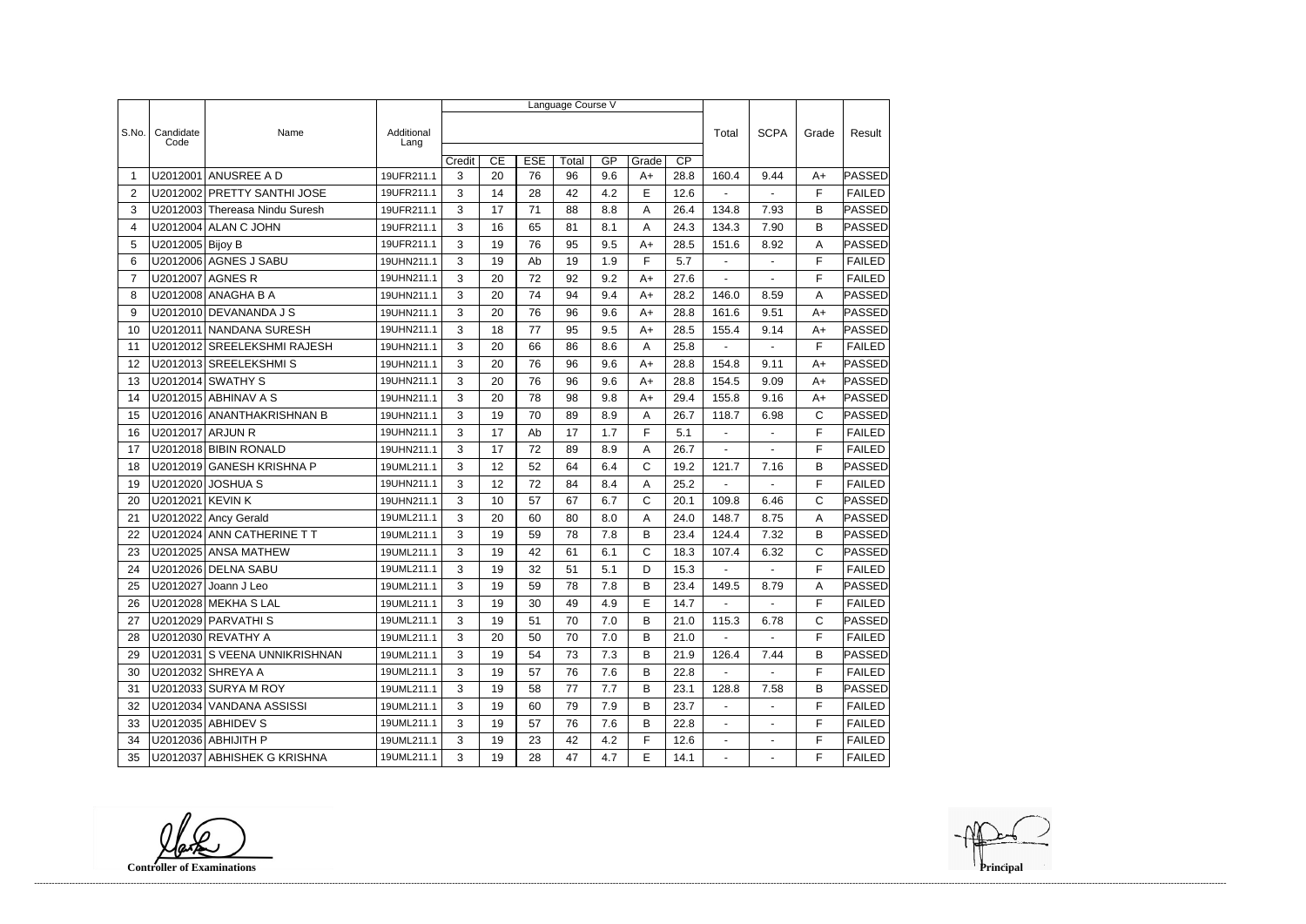|                |                   |                                |                    | Language Course V |    |            |       |     |       |                 |                |                          |              |               |
|----------------|-------------------|--------------------------------|--------------------|-------------------|----|------------|-------|-----|-------|-----------------|----------------|--------------------------|--------------|---------------|
|                |                   |                                |                    |                   |    |            |       |     |       |                 |                |                          |              |               |
| S.No.          | Candidate<br>Code | Name                           | Additional<br>Lang |                   |    |            |       |     |       |                 | Total          | <b>SCPA</b>              | Grade        | Result        |
|                |                   |                                |                    | Credit            | CE | <b>ESE</b> | Total | GP  | Grade | $\overline{CP}$ |                |                          |              |               |
| -1             | U2012001          | <b>ANUSREE AD</b>              | 19UFR211.1         | 3                 | 20 | 76         | 96    | 9.6 | $A+$  | 28.8            | 160.4          | 9.44                     | $A+$         | PASSED        |
| $\overline{2}$ |                   | U2012002 PRETTY SANTHI JOSE    | 19UFR211.1         | 3                 | 14 | 28         | 42    | 4.2 | E     | 12.6            |                |                          | F            | <b>FAILED</b> |
| 3              |                   | U2012003 Thereasa Nindu Suresh | 19UFR211.1         | 3                 | 17 | 71         | 88    | 8.8 | Α     | 26.4            | 134.8          | 7.93                     | B            | <b>PASSED</b> |
| 4              |                   | U2012004 ALAN C JOHN           | 19UFR211.1         | 3                 | 16 | 65         | 81    | 8.1 | А     | 24.3            | 134.3          | 7.90                     | B            | PASSED        |
| 5              | U2012005 Bijoy B  |                                | 19UFR211.1         | 3                 | 19 | 76         | 95    | 9.5 | $A+$  | 28.5            | 151.6          | 8.92                     | A            | PASSED        |
| 6              |                   | U2012006 AGNES J SABU          | 19UHN211.1         | 3                 | 19 | Ab         | 19    | 1.9 | F     | 5.7             |                |                          | F            | <b>FAILED</b> |
| $\overline{7}$ |                   | U2012007 AGNES R               | 19UHN211.1         | 3                 | 20 | 72         | 92    | 9.2 | $A+$  | 27.6            |                |                          | F            | <b>FAILED</b> |
| 8              |                   | U2012008 ANAGHA B A            | 19UHN211.1         | 3                 | 20 | 74         | 94    | 9.4 | $A+$  | 28.2            | 146.0          | 8.59                     | Α            | <b>PASSED</b> |
| 9              |                   | U2012010 DEVANANDA J S         | 19UHN211.1         | 3                 | 20 | 76         | 96    | 9.6 | $A+$  | 28.8            | 161.6          | 9.51                     | $A+$         | PASSED        |
| 10             | U2012011          | NANDANA SURESH                 | 19UHN211.1         | 3                 | 18 | 77         | 95    | 9.5 | $A+$  | 28.5            | 155.4          | 9.14                     | $A+$         | PASSED        |
| 11             |                   | U2012012 SREELEKSHMI RAJESH    | 19UHN211.1         | 3                 | 20 | 66         | 86    | 8.6 | Α     | 25.8            |                |                          | F            | <b>FAILED</b> |
| 12             |                   | U2012013 SREELEKSHMIS          | 19UHN211.1         | 3                 | 20 | 76         | 96    | 9.6 | $A+$  | 28.8            | 154.8          | 9.11                     | $A+$         | PASSED        |
| 13             |                   | U2012014 SWATHY S              | 19UHN211.1         | 3                 | 20 | 76         | 96    | 9.6 | $A+$  | 28.8            | 154.5          | 9.09                     | A+           | <b>PASSED</b> |
| 14             |                   | U2012015 ABHINAV A S           | 19UHN211.1         | 3                 | 20 | 78         | 98    | 9.8 | $A+$  | 29.4            | 155.8          | 9.16                     | $A+$         | PASSED        |
| 15             |                   | U2012016 ANANTHAKRISHNAN B     | 19UHN211.1         | 3                 | 19 | 70         | 89    | 8.9 | Α     | 26.7            | 118.7          | 6.98                     | $\mathsf{C}$ | PASSED        |
| 16             | U2012017 ARJUN R  |                                | 19UHN211.1         | 3                 | 17 | Ab         | 17    | 1.7 | F     | 5.1             |                |                          | F            | <b>FAILED</b> |
| 17             |                   | U2012018 BIBIN RONALD          | 19UHN211.1         | 3                 | 17 | 72         | 89    | 8.9 | Α     | 26.7            | $\blacksquare$ |                          | F            | <b>FAILED</b> |
| 18             |                   | U2012019 GANESH KRISHNA P      | 19UML211.1         | 3                 | 12 | 52         | 64    | 6.4 | C     | 19.2            | 121.7          | 7.16                     | B            | <b>PASSED</b> |
| 19             |                   | U2012020 JOSHUA S              | 19UHN211.1         | 3                 | 12 | 72         | 84    | 8.4 | Α     | 25.2            |                |                          | F            | <b>FAILED</b> |
| 20             | U2012021          | <b>KEVINK</b>                  | 19UHN211.1         | 3                 | 10 | 57         | 67    | 6.7 | C     | 20.1            | 109.8          | 6.46                     | $\mathsf{C}$ | PASSED        |
| 21             |                   | U2012022 Ancy Gerald           | 19UML211.1         | 3                 | 20 | 60         | 80    | 8.0 | Α     | 24.0            | 148.7          | 8.75                     | A            | PASSED        |
| 22             |                   | U2012024 ANN CATHERINE TT      | 19UML211.1         | 3                 | 19 | 59         | 78    | 7.8 | B     | 23.4            | 124.4          | 7.32                     | B            | <b>PASSED</b> |
| 23             |                   | U2012025 ANSA MATHEW           | 19UML211.1         | 3                 | 19 | 42         | 61    | 6.1 | C     | 18.3            | 107.4          | 6.32                     | $\mathsf{C}$ | PASSED        |
| 24             |                   | U2012026 DELNA SABU            | 19UML211.1         | 3                 | 19 | 32         | 51    | 5.1 | D     | 15.3            |                |                          | F            | <b>FAILED</b> |
| 25             |                   | U2012027 Joann J Leo           | 19UML211.1         | 3                 | 19 | 59         | 78    | 7.8 | B     | 23.4            | 149.5          | 8.79                     | A            | <b>PASSED</b> |
| 26             |                   | U2012028 MEKHA S LAL           | 19UML211.1         | 3                 | 19 | 30         | 49    | 4.9 | Е     | 14.7            |                |                          | F            | <b>FAILED</b> |
| 27             |                   | U2012029 PARVATHIS             | 19UML211.1         | 3                 | 19 | 51         | 70    | 7.0 | B     | 21.0            | 115.3          | 6.78                     | $\mathsf{C}$ | PASSED        |
| 28             |                   | U2012030 REVATHY A             | 19UML211.1         | 3                 | 20 | 50         | 70    | 7.0 | B     | 21.0            | $\sim$         | $\blacksquare$           | F            | <b>FAILED</b> |
| 29             |                   | U2012031 S VEENA UNNIKRISHNAN  | 19UML211.1         | 3                 | 19 | 54         | 73    | 7.3 | B     | 21.9            | 126.4          | 7.44                     | B            | <b>PASSED</b> |
| 30             |                   | U2012032 SHREYA A              | 19UML211.1         | 3                 | 19 | 57         | 76    | 7.6 | B     | 22.8            | $\sim$         | $\sim$                   | F            | <b>FAILED</b> |
| 31             |                   | U2012033 SURYA M ROY           | 19UML211.1         | 3                 | 19 | 58         | 77    | 7.7 | B     | 23.1            | 128.8          | 7.58                     | B            | PASSED        |
| 32             |                   | U2012034 VANDANA ASSISSI       | 19UML211.1         | 3                 | 19 | 60         | 79    | 7.9 | B     | 23.7            | $\sim$         | $\blacksquare$           | F            | <b>FAILED</b> |
| 33             |                   | U2012035 ABHIDEV S             | 19UML211.1         | 3                 | 19 | 57         | 76    | 7.6 | B     | 22.8            | $\sim$         | $\blacksquare$           | F            | <b>FAILED</b> |
| 34             |                   | U2012036 ABHIJITH P            | 19UML211.1         | 3                 | 19 | 23         | 42    | 4.2 | F     | 12.6            | $\sim$         | $\overline{\phantom{a}}$ | F            | <b>FAILED</b> |
| 35             |                   | U2012037 ABHISHEK G KRISHNA    | 19UML211.1         | 3                 | 19 | 28         | 47    | 4.7 | E.    | 14.1            | $\sim$         | $\blacksquare$           | F.           | FAILED        |

**Controller of Examinations**